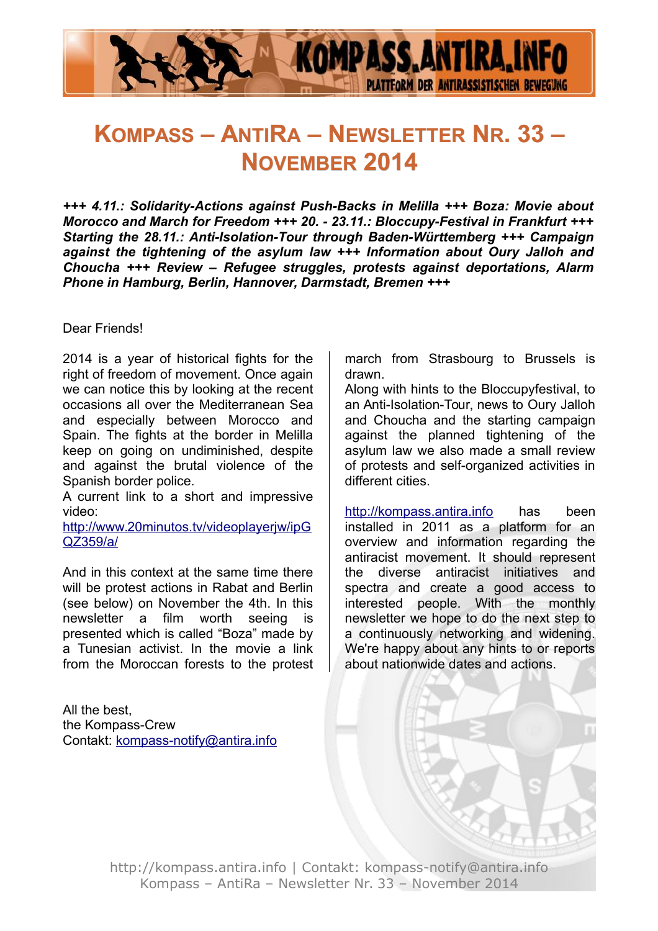

# **KOMPASS – ANTIRA – NEWSLETTER NR. 33 – NOVEMBER 2014**

*+++ 4.11.: Solidarity-Actions against Push-Backs in Melilla +++ Boza: Movie about Morocco and March for Freedom +++ 20. - 23.11.: Bloccupy-Festival in Frankfurt +++ Starting the 28.11.: Anti-Isolation-Tour through Baden-Württemberg +++ Campaign against the tightening of the asylum law +++ Information about Oury Jalloh and Choucha +++ Review – Refugee struggles, protests against deportations, Alarm Phone in Hamburg, Berlin, Hannover, Darmstadt, Bremen +++*

#### Dear Friends!

2014 is a year of historical fights for the right of freedom of movement. Once again we can notice this by looking at the recent occasions all over the Mediterranean Sea and especially between Morocco and Spain. The fights at the border in Melilla keep on going on undiminished, despite and against the brutal violence of the Spanish border police.

A current link to a short and impressive video:

[http://www.20minutos.tv/videoplayerjw/ipG](http://www.20minutos.tv/videoplayerjw/ipGQZ359/a/) [QZ359/a/](http://www.20minutos.tv/videoplayerjw/ipGQZ359/a/)

And in this context at the same time there will be protest actions in Rabat and Berlin (see below) on November the 4th. In this newsletter a film worth seeing is presented which is called "Boza" made by a Tunesian activist. In the movie a link from the Moroccan forests to the protest

All the best, the Kompass-Crew Contakt: [kompass-notify@antira.inf](mailto:kompass-notify@antira.info)o march from Strasbourg to Brussels is drawn.

Along with hints to the Bloccupyfestival, to an Anti-Isolation-Tour, news to Oury Jalloh and Choucha and the starting campaign against the planned tightening of the asylum law we also made a small review of protests and self-organized activities in different cities.

http://kompass.antira.info has been installed in 2011 as a platform for an overview and information regarding the antiracist movement. It should represent the diverse antiracist initiatives and spectra and create a good access to interested people. With the monthly newsletter we hope to do the next step to a continuously networking and widening. We're happy about any hints to or reports about nationwide dates and actions.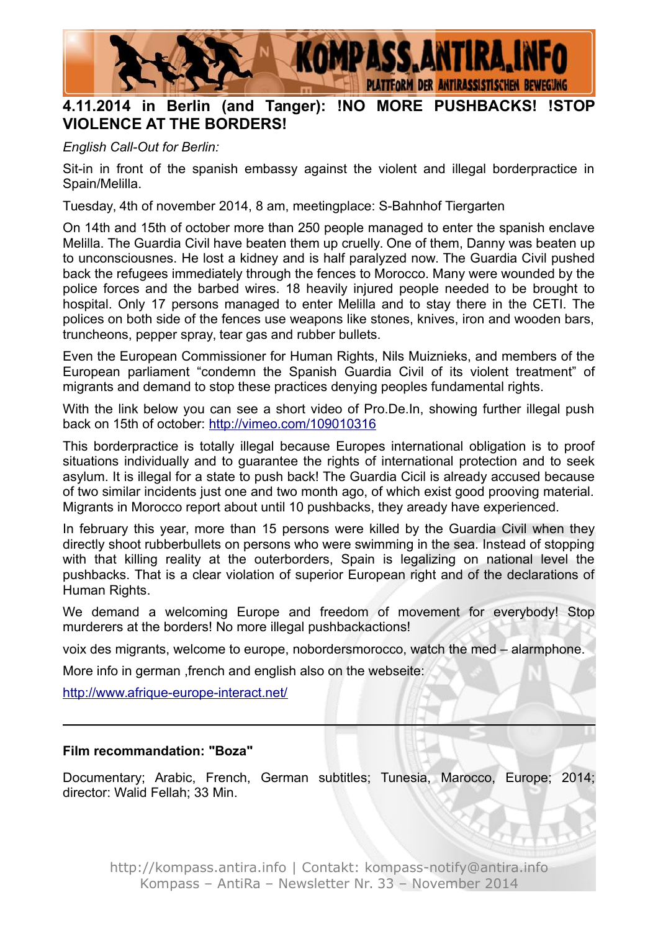

# **4.11.2014 in Berlin (and Tanger): !NO MORE PUSHBACKS! !STOP VIOLENCE AT THE BORDERS!**

*English Call-Out for Berlin:*

Sit-in in front of the spanish embassy against the violent and illegal borderpractice in Spain/Melilla.

Tuesday, 4th of november 2014, 8 am, meetingplace: S-Bahnhof Tiergarten

On 14th and 15th of october more than 250 people managed to enter the spanish enclave Melilla. The Guardia Civil have beaten them up cruelly. One of them, Danny was beaten up to unconsciousnes. He lost a kidney and is half paralyzed now. The Guardia Civil pushed back the refugees immediately through the fences to Morocco. Many were wounded by the police forces and the barbed wires. 18 heavily injured people needed to be brought to hospital. Only 17 persons managed to enter Melilla and to stay there in the CETI. The polices on both side of the fences use weapons like stones, knives, iron and wooden bars, truncheons, pepper spray, tear gas and rubber bullets.

Even the European Commissioner for Human Rights, Nils Muiznieks, and members of the European parliament "condemn the Spanish Guardia Civil of its violent treatment" of migrants and demand to stop these practices denying peoples fundamental rights.

With the link below you can see a short video of Pro.De.In, showing further illegal push back on 15th of october:<http://vimeo.com/109010316>

This borderpractice is totally illegal because Europes international obligation is to proof situations individually and to guarantee the rights of international protection and to seek asylum. It is illegal for a state to push back! The Guardia Cicil is already accused because of two similar incidents just one and two month ago, of which exist good prooving material. Migrants in Morocco report about until 10 pushbacks, they aready have experienced.

In february this year, more than 15 persons were killed by the Guardia Civil when they directly shoot rubberbullets on persons who were swimming in the sea. Instead of stopping with that killing reality at the outerborders, Spain is legalizing on national level the pushbacks. That is a clear violation of superior European right and of the declarations of Human Rights.

We demand a welcoming Europe and freedom of movement for everybody! Stop murderers at the borders! No more illegal pushbackactions!

voix des migrants, welcome to europe, nobordersmorocco, watch the med – alarmphone.

More info in german ,french and english also on the webseite:

<http://www.afrique-europe-interact.net/>

#### **Film recommandation: "Boza"**

Documentary; Arabic, French, German subtitles; Tunesia, Marocco, Europe; 2014; director: Walid Fellah; 33 Min.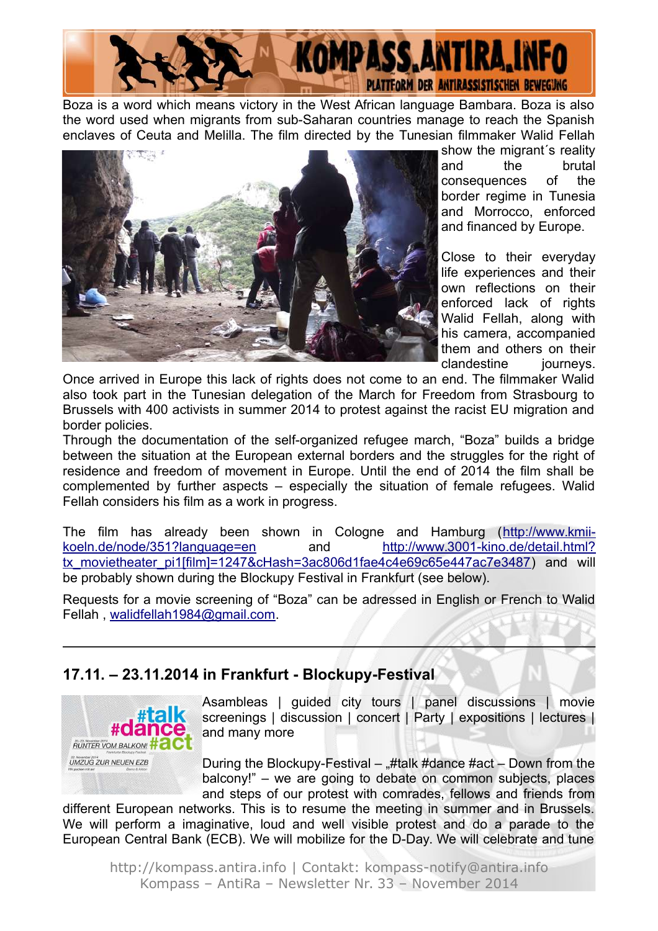

Boza is a word which means victory in the West African language Bambara. Boza is also the word used when migrants from sub-Saharan countries manage to reach the Spanish enclaves of Ceuta and Melilla. The film directed by the Tunesian filmmaker Walid Fellah



show the migrant´s reality and the brutal consequences of the border regime in Tunesia and Morrocco, enforced and financed by Europe.

Close to their everyday life experiences and their own reflections on their enforced lack of rights Walid Fellah, along with his camera, accompanied them and others on their clandestine journeys.

Once arrived in Europe this lack of rights does not come to an end. The filmmaker Walid also took part in the Tunesian delegation of the March for Freedom from Strasbourg to Brussels with 400 activists in summer 2014 to protest against the racist EU migration and border policies.

Through the documentation of the self-organized refugee march, "Boza" builds a bridge between the situation at the European external borders and the struggles for the right of residence and freedom of movement in Europe. Until the end of 2014 the film shall be complemented by further aspects – especially the situation of female refugees. Walid Fellah considers his film as a work in progress.

The film has already been shown in Cologne and Hamburg [\(http://www.kmii](http://www.kmii-koeln.de/node/351?language=en)[koeln.de/node/351?language=en](http://www.kmii-koeln.de/node/351?language=en) and [http://www.3001-kino.de/detail.html?](http://www.3001-kino.de/detail.html?tx_movietheater_pi1[film]=1247&cHash=3ac80%206d1fae4c4e69c65e447ac7e3487) tx movietheater pi1[film]=1247&cHash=3ac806d1fae4c4e69c65e447ac7e3487) and will be probably shown during the Blockupy Festival in Frankfurt (see below).

Requests for a movie screening of "Boza" can be adressed in English or French to Walid Fellah , [walidfellah1984@gmail.com.](mailto:walidfellah1984@gmail.com)

#### **17.11. – 23.11.2014 in Frankfurt - Blockupy-Festival**



Asambleas | guided city tours | panel discussions | movie screenings | discussion | concert | Party | expositions | lectures | and many more

During the Blockupy-Festival  $\#$ talk  $\#$ dance  $\#$ act  $-$  Down from the balcony!" – we are going to debate on common subjects, places and steps of our protest with comrades, fellows and friends from

different European networks. This is to resume the meeting in summer and in Brussels. We will perform a imaginative, loud and well visible protest and do a parade to the European Central Bank (ECB). We will mobilize for the D-Day. We will celebrate and tune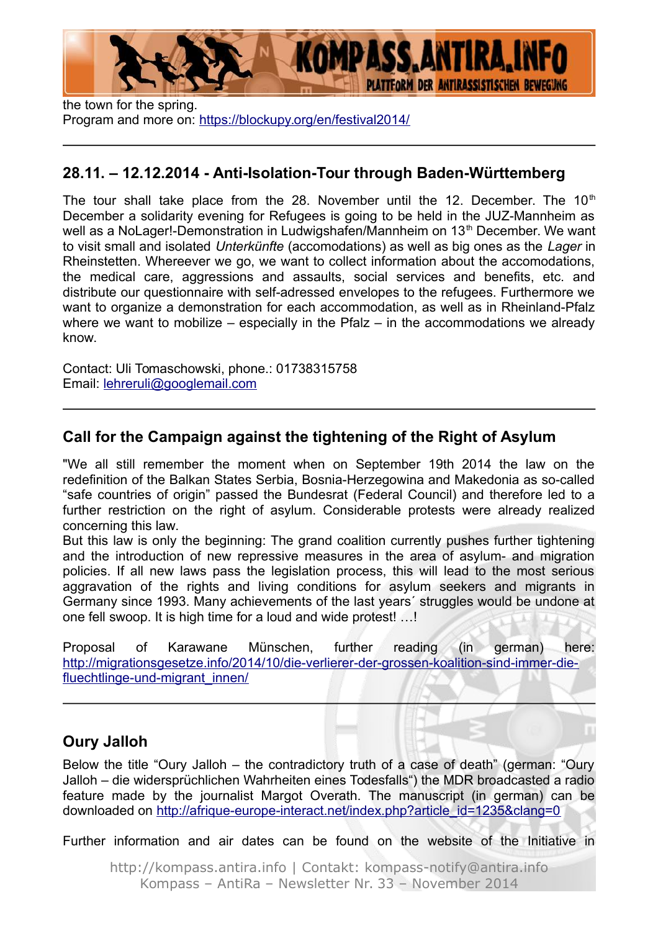

the town for the spring. Program and more on:<https://blockupy.org/en/festival2014/>

### **28.11. – 12.12.2014 - Anti-Isolation-Tour through Baden-Württemberg**

The tour shall take place from the 28. November until the 12. December. The 10<sup>th</sup> December a solidarity evening for Refugees is going to be held in the JUZ-Mannheim as well as a NoLager!-Demonstration in Ludwigshafen/Mannheim on 13<sup>th</sup> December. We want to visit small and isolated *Unterkünfte* (accomodations) as well as big ones as the *Lager* in Rheinstetten. Whereever we go, we want to collect information about the accomodations, the medical care, aggressions and assaults, social services and benefits, etc. and distribute our questionnaire with self-adressed envelopes to the refugees. Furthermore we want to organize a demonstration for each accommodation, as well as in Rheinland-Pfalz where we want to mobilize – especially in the Pfalz – in the accommodations we already know.

Contact: Uli Tomaschowski, phone.: 01738315758 Email: [lehreruli@googlemail.com](mailto:lehreruli@googlemail.com)

## **Call for the Campaign against the tightening of the Right of Asylum**

"We all still remember the moment when on September 19th 2014 the law on the redefinition of the Balkan States Serbia, Bosnia-Herzegowina and Makedonia as so-called "safe countries of origin" passed the Bundesrat (Federal Council) and therefore led to a further restriction on the right of asylum. Considerable protests were already realized concerning this law.

But this law is only the beginning: The grand coalition currently pushes further tightening and the introduction of new repressive measures in the area of asylum- and migration policies. If all new laws pass the legislation process, this will lead to the most serious aggravation of the rights and living conditions for asylum seekers and migrants in Germany since 1993. Many achievements of the last years´ struggles would be undone at one fell swoop. It is high time for a loud and wide protest! …!

Proposal of Karawane Münschen, further reading (in german) here: [http://migrationsgesetze.info/2014/10/die-verlierer-der-grossen-koalition-sind-immer-die](http://migrationsgesetze.info/2014/10/die-verlierer-der-grossen-koalition-sind-immer-die-fluechtlinge-und-migrant_innen/)[fluechtlinge-und-migrant\\_innen/](http://migrationsgesetze.info/2014/10/die-verlierer-der-grossen-koalition-sind-immer-die-fluechtlinge-und-migrant_innen/)

# **Oury Jalloh**

Below the title "Oury Jalloh – the contradictory truth of a case of death" (german: "Oury Jalloh – die widersprüchlichen Wahrheiten eines Todesfalls") the MDR broadcasted a radio feature made by the journalist Margot Overath. The manuscript (in german) can be downloaded on [http://afrique-europe-interact.net/index.php?article\\_id=1235&clang=0](http://afrique-europe-interact.net/index.php?article_id=1235&clang=0)

Further information and air dates can be found on the website of the Initiative in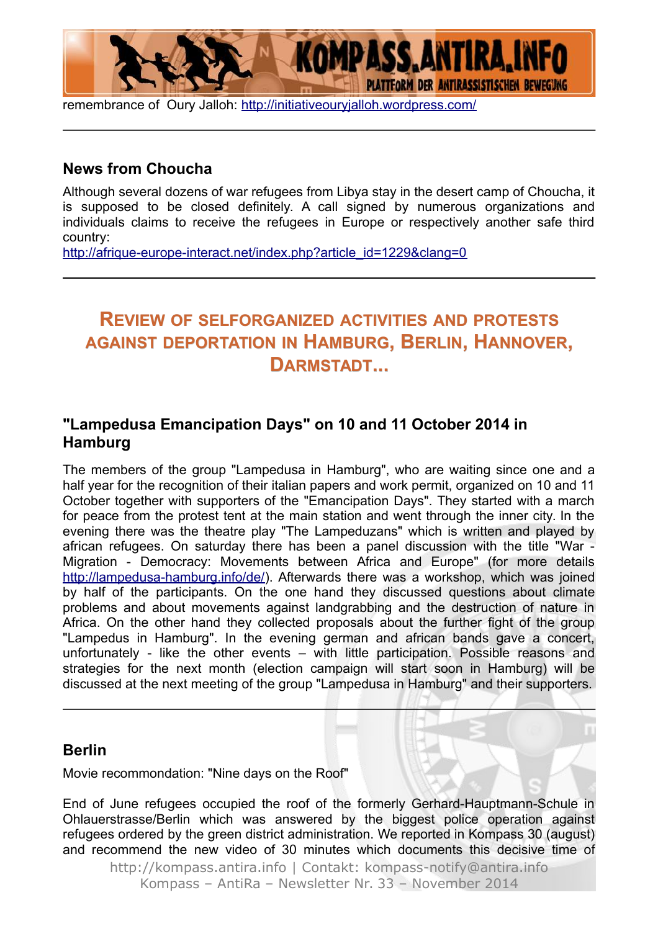

remembrance of Oury Jalloh:<http://initiativeouryjalloh.wordpress.com/>

#### **News from Choucha**

Although several dozens of war refugees from Libya stay in the desert camp of Choucha, it is supposed to be closed definitely. A call signed by numerous organizations and individuals claims to receive the refugees in Europe or respectively another safe third country:

[http://afrique-europe-interact.net/index.php?article\\_id=1229&clang=0](http://afrique-europe-interact.net/index.php?article_id=1229&clang=0)

# **REVIEW OF SELFORGANIZED ACTIVITIES AND PROTESTS AGAINST DEPORTATION IN HAMBURG, BERLIN, HANNOVER, DARMSTADT...**

#### **"Lampedusa Emancipation Days" on 10 and 11 October 2014 in Hamburg**

The members of the group "Lampedusa in Hamburg", who are waiting since one and a half year for the recognition of their italian papers and work permit, organized on 10 and 11 October together with supporters of the "Emancipation Days". They started with a march for peace from the protest tent at the main station and went through the inner city. In the evening there was the theatre play "The Lampeduzans" which is written and played by african refugees. On saturday there has been a panel discussion with the title "War - Migration - Democracy: Movements between Africa and Europe" (for more details [http://lampedusa-hamburg.info/de/\)](http://lampedusa-hamburg.info/de/). Afterwards there was a workshop, which was joined by half of the participants. On the one hand they discussed questions about climate problems and about movements against landgrabbing and the destruction of nature in Africa. On the other hand they collected proposals about the further fight of the group "Lampedus in Hamburg". In the evening german and african bands gave a concert, unfortunately - like the other events – with little participation. Possible reasons and strategies for the next month (election campaign will start soon in Hamburg) will be discussed at the next meeting of the group "Lampedusa in Hamburg" and their supporters.

#### **Berlin**

Movie recommondation: "Nine days on the Roof"

End of June refugees occupied the roof of the formerly Gerhard-Hauptmann-Schule in Ohlauerstrasse/Berlin which was answered by the biggest police operation against refugees ordered by the green district administration. We reported in Kompass 30 (august) and recommend the new video of 30 minutes which documents this decisive time of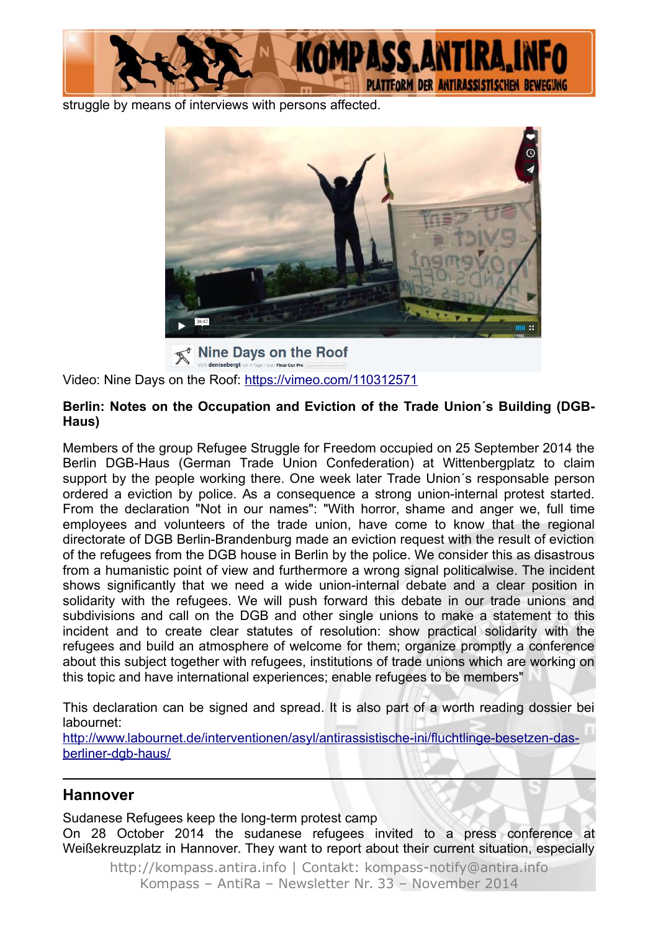

struggle by means of interviews with persons affected.



Video: Nine Days on the Roof:<https://vimeo.com/110312571>

#### **Berlin: Notes on the Occupation and Eviction of the Trade Union´s Building (DGB-Haus)**

Members of the group Refugee Struggle for Freedom occupied on 25 September 2014 the Berlin DGB-Haus (German Trade Union Confederation) at Wittenbergplatz to claim support by the people working there. One week later Trade Union´s responsable person ordered a eviction by police. As a consequence a strong union-internal protest started. From the declaration "Not in our names": "With horror, shame and anger we, full time employees and volunteers of the trade union, have come to know that the regional directorate of DGB Berlin-Brandenburg made an eviction request with the result of eviction of the refugees from the DGB house in Berlin by the police. We consider this as disastrous from a humanistic point of view and furthermore a wrong signal politicalwise. The incident shows significantly that we need a wide union-internal debate and a clear position in solidarity with the refugees. We will push forward this debate in our trade unions and subdivisions and call on the DGB and other single unions to make a statement to this incident and to create clear statutes of resolution: show practical solidarity with the refugees and build an atmosphere of welcome for them; organize promptly a conference about this subject together with refugees, institutions of trade unions which are working on this topic and have international experiences; enable refugees to be members"

This declaration can be signed and spread. It is also part of a worth reading dossier bei labournet:

[http://www.labournet.de/interventionen/asyl/antirassistische-ini/fluchtlinge-besetzen-das](http://www.labournet.de/interventionen/asyl/antirassistische-ini/fluchtlinge-besetzen-das-berliner-dgb-haus/)[berliner-dgb-haus/](http://www.labournet.de/interventionen/asyl/antirassistische-ini/fluchtlinge-besetzen-das-berliner-dgb-haus/)

#### **Hannover**

Sudanese Refugees keep the long-term protest camp On 28 October 2014 the sudanese refugees invited to a press conference at Weißekreuzplatz in Hannover. They want to report about their current situation, especially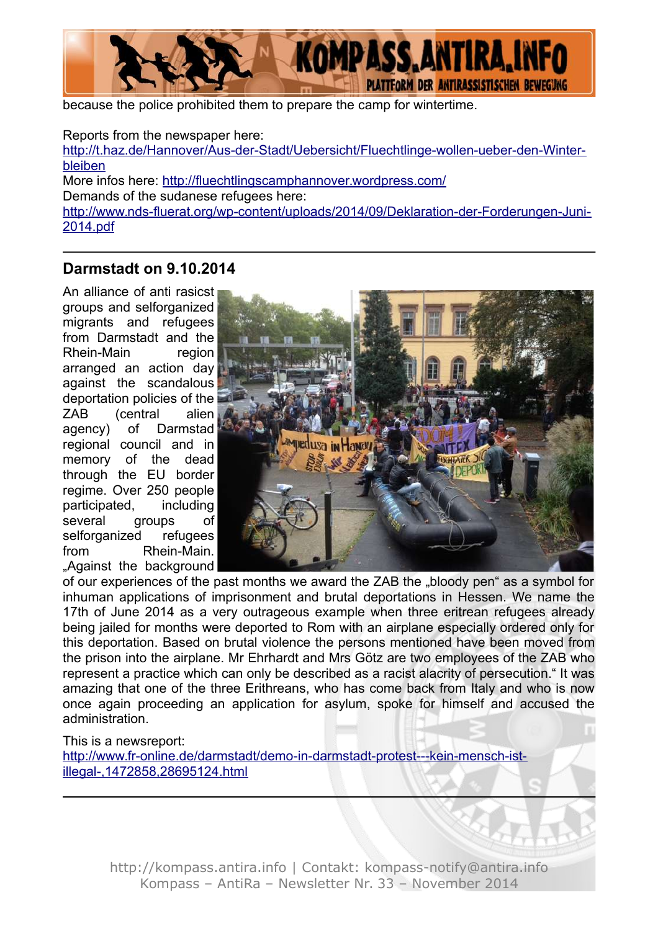

because the police prohibited them to prepare the camp for wintertime.

Reports from the newspaper here: [http://t.haz.de/Hannover/Aus-der-Stadt/Uebersicht/Fluechtlinge-wollen-ueber-den-Winter](http://t.haz.de/Hannover/Aus-der-Stadt/Uebersicht/Fluechtlinge-wollen-ueber-den-Winter-bleiben)[bleiben](http://t.haz.de/Hannover/Aus-der-Stadt/Uebersicht/Fluechtlinge-wollen-ueber-den-Winter-bleiben) More infos here:<http://fluechtlingscamphannover.wordpress.com/> Demands of the sudanese refugees here: [http://www.nds-fluerat.org/wp-content/uploads/2014/09/Deklaration-der-Forderungen-Juni-](http://www.nds-fluerat.org/wp-content/uploads/2014/09/Deklaration-der-Forderungen-Juni-2014.pdf)[2014.pdf](http://www.nds-fluerat.org/wp-content/uploads/2014/09/Deklaration-der-Forderungen-Juni-2014.pdf)

#### **Darmstadt on 9.10.2014**

An alliance of anti rasicst groups and selforganized migrants and refugees from Darmstadt and the Rhein-Main region arranged an action day against the scandalous deportation policies of the ZAB (central alien agency) of Darmstad regional council and in memory of the dead through the EU border regime. Over 250 people participated, including several groups of selforganized refugees from Rhein-Main. "Against the background



of our experiences of the past months we award the ZAB the "bloody pen" as a symbol for inhuman applications of imprisonment and brutal deportations in Hessen. We name the 17th of June 2014 as a very outrageous example when three eritrean refugees already being jailed for months were deported to Rom with an airplane especially ordered only for this deportation. Based on brutal violence the persons mentioned have been moved from the prison into the airplane. Mr Ehrhardt and Mrs Götz are two employees of the ZAB who represent a practice which can only be described as a racist alacrity of persecution." It was amazing that one of the three Erithreans, who has come back from Italy and who is now once again proceeding an application for asylum, spoke for himself and accused the administration.

This is a newsreport:

[http://www.fr-online.de/darmstadt/demo-in-darmstadt-protest---kein-mensch-ist](http://www.fr-online.de/darmstadt/demo-in-darmstadt-protest---kein-mensch-ist-illegal-,1472858,28695124.html)[illegal-,1472858,28695124.html](http://www.fr-online.de/darmstadt/demo-in-darmstadt-protest---kein-mensch-ist-illegal-,1472858,28695124.html)